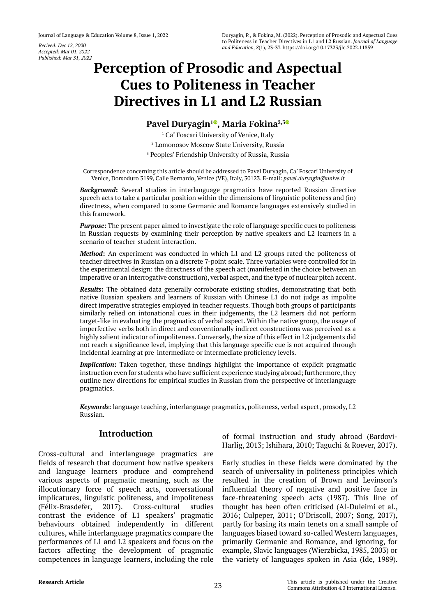*Accepted: Mar 01, 2022 Published: Mar 31, 2022*

# **Perception of Prosodic and Aspectual Cues to Politeness in Teacher Directives in L1 and L2 Russian**

# **Pavel Duryagin[1](https://orcid.org/0000-0002-3989-5433) , Maria Fokina2,[3](https://orcid.org/0000-0002-8061-0575)**

1 Ca' Foscari University of Venice, Italy 2 Lomonosov Moscow State University, Russia 3 Peoples' Friendship University of Russia, Russia

Correspondence concerning this article should be addressed to Pavel Duryagin, Ca' Foscari University of Venice, Dorsoduro 3199, Calle Bernardo, Venice (VE), Italy, 30123. E-mail: *[pavel.duryagin@unive.it](mailto:pavel.duryagin@unive.it)*

*Background***:** Several studies in interlanguage pragmatics have reported Russian directive speech acts to take a particular position within the dimensions of linguistic politeness and (in) directness, when compared to some Germanic and Romance languages extensively studied in this framework.

*Purpose***:** The present paper aimed to investigate the role of language specific cues to politeness in Russian requests by examining their perception by native speakers and L2 learners in a scenario of teacher-student interaction.

*Method***:** An experiment was conducted in which L1 and L2 groups rated the politeness of teacher directives in Russian on a discrete 7-point scale. Three variables were controlled for in the experimental design: the directness of the speech act (manifested in the choice between an imperative or an interrogative construction), verbal aspect, and the type of nuclear pitch accent.

*Results***:** The obtained data generally corroborate existing studies, demonstrating that both native Russian speakers and learners of Russian with Chinese L1 do not judge as impolite direct imperative strategies employed in teacher requests. Though both groups of participants similarly relied on intonational cues in their judgements, the L2 learners did not perform target-like in evaluating the pragmatics of verbal aspect. Within the native group, the usage of imperfective verbs both in direct and conventionally indirect constructions was perceived as a highly salient indicator of impoliteness. Conversely, the size of this effect in L2 judgements did not reach a significance level, implying that this language specific cue is not acquired through incidental learning at pre-intermediate or intermediate proficiency levels.

*Implication***:** Taken together, these findings highlight the importance of explicit pragmatic instruction even for students who have sufficient experience studying abroad; furthermore, they outline new directions for empirical studies in Russian from the perspective of interlanguage pragmatics.

*Keywords***:** language teaching, interlanguage pragmatics, politeness, verbal aspect, prosody, L2 Russian.

## **Introduction**

Cross-cultural and interlanguage pragmatics are fields of research that document how native speakers and language learners produce and comprehend various aspects of pragmatic meaning, such as the illocutionary force of speech acts, conversational implicatures, linguistic politeness, and impoliteness (Félix-Brasdefer, 2017). Cross-cultural studies contrast the evidence of L1 speakers' pragmatic behaviours obtained independently in different cultures, while interlanguage pragmatics compare the performances of L1 and L2 speakers and focus on the factors affecting the development of pragmatic competences in language learners, including the role

of formal instruction and study abroad (Bardovi-Harlig, 2013; Ishihara, 2010; Taguchi & Roever, 2017).

Early studies in these fields were dominated by the search of universality in politeness principles which resulted in the creation of Brown and Levinson's influential theory of negative and positive face in face-threatening speech acts (1987). This line of thought has been often criticised (Al-Duleimi et al., 2016; Culpeper, 2011; O'Driscoll, 2007; Song, 2017), partly for basing its main tenets on a small sample of languages biased toward so-called Western languages, primarily Germanic and Romance, and ignoring, for example, Slavic languages (Wierzbicka, 1985, 2003) or the variety of languages spoken in Asia (Ide, 1989).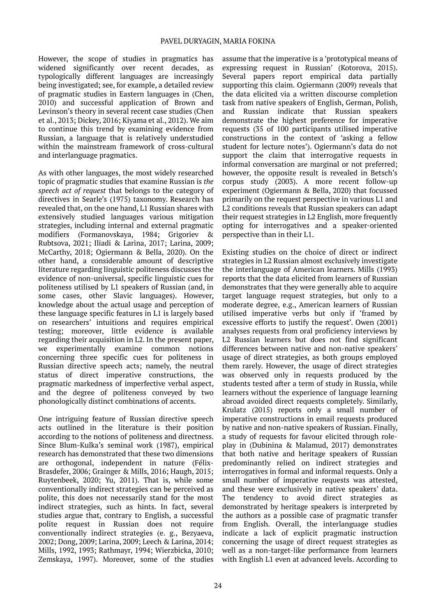However, the scope of studies in pragmatics has widened significantly over recent decades, as typologically different languages are increasingly being investigated; see, for example, a detailed review of pragmatic studies in Eastern languages in (Chen, 2010) and successful application of Brown and Levinson's theory in several recent case studies (Chen et al., 2013; Dickey, 2016; Kiyama et al., 2012). We aim to continue this trend by examining evidence from Russian, a language that is relatively understudied within the mainstream framework of cross-cultural and interlanguage pragmatics.

As with other languages, the most widely researched topic of pragmatic studies that examine Russian is *the speech act of request* that belongs to the category of directives in Searle's (1975) taxonomy. Research has revealed that, on the one hand, L1 Russian shares with extensively studied languages various mitigation strategies, including internal and external pragmatic modifiers (Formanovskaya, 1984; Grigoriev & Rubtsova, 2021; Iliadi & Larina, 2017; Larina, 2009; McCarthy, 2018; Ogiermann & Bella, 2020). On the other hand, a considerable amount of descriptive literature regarding linguistic politeness discusses the evidence of non-universal, specific linguistic cues for politeness utilised by L1 speakers of Russian (and, in some cases, other Slavic languages). However, knowledge about the actual usage and perception of these language specific features in L1 is largely based on researchers' intuitions and requires empirical testing; moreover, little evidence is available regarding their acquisition in L2. In the present paper, we experimentally examine common notions concerning three specific cues for politeness in Russian directive speech acts; namely, the neutral status of direct imperative constructions, the pragmatic markedness of imperfective verbal aspect, and the degree of politeness conveyed by two phonologically distinct combinations of accents.

One intriguing feature of Russian directive speech acts outlined in the literature is their position according to the notions of politeness and directness. Since Blum-Kulka's seminal work (1987), empirical research has demonstrated that these two dimensions are orthogonal, independent in nature (Félix-Brasdefer, 2006; Grainger & Mills, 2016; Haugh, 2015; Ruytenbeek, 2020; Yu, 2011). That is, while some conventionally indirect strategies can be perceived as polite, this does not necessarily stand for the most indirect strategies, such as hints. In fact, several studies argue that, contrary to English, a successful polite request in Russian does not require conventionally indirect strategies (e. g., Bezyaeva, 2002; Dong, 2009; Larina, 2009; Leech & Larina, 2014; Mills, 1992, 1993; Rathmayr, 1994; Wierzbicka, 2010; Zemskaya, 1997). Moreover, some of the studies

assume that the imperative is a 'prototypical means of expressing request in Russian' (Kotorova, 2015). Several papers report empirical data partially supporting this claim. Ogiermann (2009) reveals that the data elicited via a written discourse completion task from native speakers of English, German, Polish, and Russian indicate that Russian speakers demonstrate the highest preference for imperative requests (35 of 100 participants utilised imperative constructions in the context of 'asking a fellow student for lecture notes'). Ogiermann's data do not support the claim that interrogative requests in informal conversation are marginal or not preferred; however, the opposite result is revealed in Betsch's corpus study (2003). A more recent follow-up experiment (Ogiermann & Bella, 2020) that focussed primarily on the request perspective in various L1 and L2 conditions reveals that Russian speakers can adapt their request strategies in L2 English, more frequently opting for interrogatives and a speaker-oriented perspective than in their L1.

Existing studies on the choice of direct or indirect strategies in L2 Russian almost exclusively investigate the interlanguage of American learners. Mills (1993) reports that the data elicited from learners of Russian demonstrates that they were generally able to acquire target language request strategies, but only to a moderate degree, e.g., American learners of Russian utilised imperative verbs but only if 'framed by excessive efforts to justify the request'. Owen (2001) analyses requests from oral proficiency interviews by L2 Russian learners but does not find significant differences between native and non-native speakers' usage of direct strategies, as both groups employed them rarely. However, the usage of direct strategies was observed only in requests produced by the students tested after a term of study in Russia, while learners without the experience of language learning abroad avoided direct requests completely. Similarly, Krulatz (2015) reports only a small number of imperative constructions in email requests produced by native and non-native speakers of Russian. Finally, a study of requests for favour elicited through roleplay in (Dubinina & Malamud, 2017) demonstrates that both native and heritage speakers of Russian predominantly relied on indirect strategies and interrogatives in formal and informal requests. Only a small number of imperative requests was attested, and these were exclusively in native speakers' data. The tendency to avoid direct strategies as demonstrated by heritage speakers is interpreted by the authors as a possible case of pragmatic transfer from English. Overall, the interlanguage studies indicate a lack of explicit pragmatic instruction concerning the usage of direct request strategies as well as a non-target-like performance from learners with English L1 even at advanced levels. According to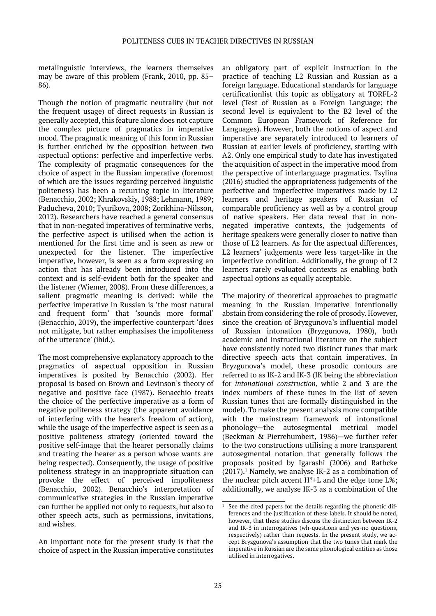metalinguistic interviews, the learners themselves may be aware of this problem (Frank, 2010, pp. 85– 86).

Though the notion of pragmatic neutrality (but not the frequent usage) of direct requests in Russian is generally accepted, this feature alone does not capture the complex picture of pragmatics in imperative mood. The pragmatic meaning of this form in Russian is further enriched by the opposition between two aspectual options: perfective and imperfective verbs. The complexity of pragmatic consequences for the choice of aspect in the Russian imperative (foremost of which are the issues regarding perceived linguistic politeness) has been a recurring topic in literature (Benacchio, 2002; Khrakovskiy, 1988; Lehmann, 1989; Paducheva, 2010; Tyurikova, 2008; Zorikhina-Nilsson, 2012). Researchers have reached a general consensus that in non-negated imperatives of terminative verbs, the perfective aspect is utilised when the action is mentioned for the first time and is seen as new or unexpected for the listener. The imperfective imperative, however, is seen as a form expressing an action that has already been introduced into the context and is self-evident both for the speaker and the listener (Wiemer, 2008). From these differences, a salient pragmatic meaning is derived: while the perfective imperative in Russian is 'the most natural and frequent form' that 'sounds more formal' (Benacchio, 2019), the imperfective counterpart 'does not mitigate, but rather emphasises the impoliteness of the utterance' (ibid.).

The most comprehensive explanatory approach to the pragmatics of aspectual opposition in Russian imperatives is posited by Benacchio (2002). Her proposal is based on Brown and Levinson's theory of negative and positive face (1987). Benacchio treats the choice of the perfective imperative as a form of negative politeness strategy (the apparent avoidance of interfering with the hearer's freedom of action), while the usage of the imperfective aspect is seen as a positive politeness strategy (oriented toward the positive self-image that the hearer personally claims and treating the hearer as a person whose wants are being respected). Consequently, the usage of positive politeness strategy in an inappropriate situation can provoke the effect of perceived impoliteness (Benacchio, 2002). Benacchio's interpretation of communicative strategies in the Russian imperative can further be applied not only to requests, but also to other speech acts, such as permissions, invitations, and wishes.

An important note for the present study is that the choice of aspect in the Russian imperative constitutes an obligatory part of explicit instruction in the practice of teaching L2 Russian and Russian as a foreign language. Educational standards for language certificationlist this topic as obligatory at TORFL-2 level (Test of Russian as a Foreign Language; the second level is equivalent to the B2 level of the Common European Framework of Reference for Languages). However, both the notions of aspect and imperative are separately introduced to learners of Russian at earlier levels of proficiency, starting with A2. Only one empirical study to date has investigated the acquisition of aspect in the imperative mood from the perspective of interlanguage pragmatics. Tsylina (2016) studied the appropriateness judgements of the perfective and imperfective imperatives made by L2 learners and heritage speakers of Russian of comparable proficiency as well as by a control group of native speakers. Her data reveal that in nonnegated imperative contexts, the judgements of heritage speakers were generally closer to native than those of L2 learners. As for the aspectual differences, L2 learners' judgements were less target-like in the imperfective condition. Additionally, the group of L2 learners rarely evaluated contexts as enabling both aspectual options as equally acceptable.

The majority of theoretical approaches to pragmatic meaning in the Russian imperative intentionally abstain from considering the role of prosody. However, since the creation of Bryzgunova's influential model of Russian intonation (Bryzgunova, 1980), both academic and instructional literature on the subject have consistently noted two distinct tunes that mark directive speech acts that contain imperatives. In Bryzgunova's model, these prosodic contours are referred to as IK-2 and IK-3 (IK being the abbreviation for *intonational construction*, while 2 and 3 are the index numbers of these tunes in the list of seven Russian tunes that are formally distinguished in the model). To make the present analysis more compatible with the mainstream framework of intonational phonology—the autosegmental metrical model (Beckman & Pierrehumbert, 1986)—we further refer to the two constructions utilising a more transparent autosegmental notation that generally follows the proposals posited by Igarashi (2006) and Rathcke  $(2017).<sup>1</sup>$  Namely, we analyse IK-2 as a combination of the nuclear pitch accent  $H^*+L$  and the edge tone  $L\%$ ; additionally, we analyse IK-3 as a combination of the

 $1$  See the cited papers for the details regarding the phonetic differences and the justification of these labels. It should be noted, however, that these studies discuss the distinction between IK-2 and IK-3 in interrogatives (wh-questions and yes-no questions, respectively) rather than requests. In the present study, we accept Bryzgunova's assumption that the two tunes that mark the imperative in Russian are the same phonological entities as those utilised in interrogatives.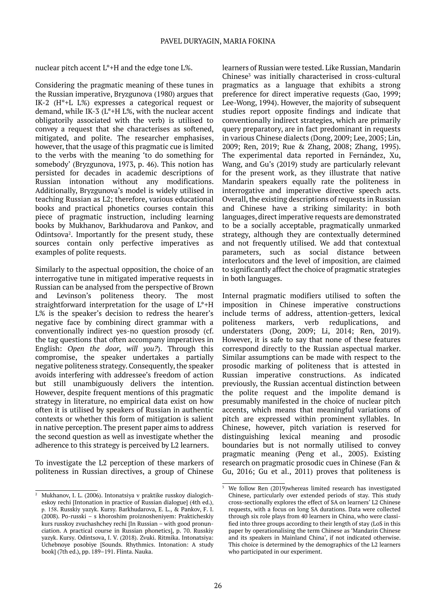nuclear pitch accent L\*+H and the edge tone L%.

Considering the pragmatic meaning of these tunes in the Russian imperative, Bryzgunova (1980) argues that IK-2 (H\*+L L%) expresses a categorical request or demand, while IK-3 (L\*+H L%, with the nuclear accent obligatorily associated with the verb) is utilised to convey a request that she characterises as softened, mitigated, and polite. The researcher emphasises, however, that the usage of this pragmatic cue is limited to the verbs with the meaning 'to do something for somebody' (Bryzgunova, 1973, p. 46). This notion has persisted for decades in academic descriptions of Russian intonation without any modifications. Additionally, Bryzgunova's model is widely utilised in teaching Russian as L2; therefore, various educational books and practical phonetics courses contain this piece of pragmatic instruction, including learning books by Mukhanov, Barkhudarova and Pankov, and Odintsova<sup>2</sup> . Importantly for the present study, these sources contain only perfective imperatives as examples of polite requests.

Similarly to the aspectual opposition, the choice of an interrogative tune in mitigated imperative requests in Russian can be analysed from the perspective of Brown and Levinson's politeness theory. The most straightforward interpretation for the usage of  $L^*$ +H L% is the speaker's decision to redress the hearer's negative face by combining direct grammar with a conventionally indirect yes-no question prosody (cf. the tag questions that often accompany imperatives in English: *Open the door, will you?*). Through this compromise, the speaker undertakes a partially negative politeness strategy. Consequently, the speaker avoids interfering with addressee's freedom of action but still unambiguously delivers the intention. However, despite frequent mentions of this pragmatic strategy in literature, no empirical data exist on how often it is utilised by speakers of Russian in authentic contexts or whether this form of mitigation is salient in native perception. The present paper aims to address the second question as well as investigate whether the adherence to this strategy is perceived by L2 learners.

To investigate the L2 perception of these markers of politeness in Russian directives, a group of Chinese

learners of Russian were tested. Like Russian, Mandarin Chinese3 was initially characterised in cross-cultural pragmatics as a language that exhibits a strong preference for direct imperative requests (Gao, 1999; Lee-Wong, 1994). However, the majority of subsequent studies report opposite findings and indicate that conventionally indirect strategies, which are primarily query preparatory, are in fact predominant in requests in various Chinese dialects (Dong, 2009; Lee, 2005; Lin, 2009; Ren, 2019; Rue & Zhang, 2008; Zhang, 1995). The experimental data reported in Fernández, Xu, Wang, and Gu's (2019) study are particularly relevant for the present work, as they illustrate that native Mandarin speakers equally rate the politeness in interrogative and imperative directive speech acts. Overall, the existing descriptions of requests in Russian and Chinese have a striking similarity: in both languages, direct imperative requests are demonstrated to be a socially acceptable, pragmatically unmarked strategy, although they are contextually determined and not frequently utilised. We add that contextual parameters, such as social distance between interlocutors and the level of imposition, are claimed to significantly affect the choice of pragmatic strategies in both languages.

Internal pragmatic modifiers utilised to soften the imposition in Chinese imperative constructions include terms of address, attention-getters, lexical politeness markers, verb reduplications, and understaters (Dong, 2009; Li, 2014; Ren, 2019). However, it is safe to say that none of these features correspond directly to the Russian aspectual marker. Similar assumptions can be made with respect to the prosodic marking of politeness that is attested in Russian imperative constructions. As indicated previously, the Russian accentual distinction between the polite request and the impolite demand is presumably manifested in the choice of nuclear pitch accents, which means that meaningful variations of pitch are expressed within prominent syllables. In Chinese, however, pitch variation is reserved for distinguishing lexical meaning and prosodic boundaries but is not normally utilised to convey pragmatic meaning (Peng et al., 2005). Existing research on pragmatic prosodic cues in Chinese (Fan & Gu, 2016; Gu et al., 2011) proves that politeness is

<sup>2</sup> Mukhanov, I. L. (2006). Intonatsiya v praktike russkoy dialogicheskoy rechi [Intonation in practice of Russian dialogue] (4th ed.), p. 158. Russkiy yazyk. Kursy. Barkhudarova, E. L., & Pankov, F. I. (2008). Po-russki – s khoroshim proiznosheniyem: Prakticheskiy kurs russkoy zvuchashchey rechi [In Russian – with good pronunciation. A practical course in Russian phonetics], p. 70. Russkiy yazyk. Kursy. Odintsova, I. V. (2018). Zvuki. Ritmika. Intonatsiya: Uchebnoye posobiye [Sounds. Rhythmics. Intonation: A study book] (7th ed.), pp. 189–191. Flinta. Nauka.

<sup>3</sup> We follow Ren (2019)whereas limited research has investigated Chinese, particularly over extended periods of stay. This study cross-sectionally explores the effect of SA on learners' L2 Chinese requests, with a focus on long SA durations. Data were collected through six role plays from 40 learners in China, who were classified into three groups according to their length of stay (LoS in this paper by operationalising the term Chinese as 'Mandarin Chinese and its speakers in Mainland China', if not indicated otherwise. This choice is determined by the demographics of the L2 learners who participated in our experiment.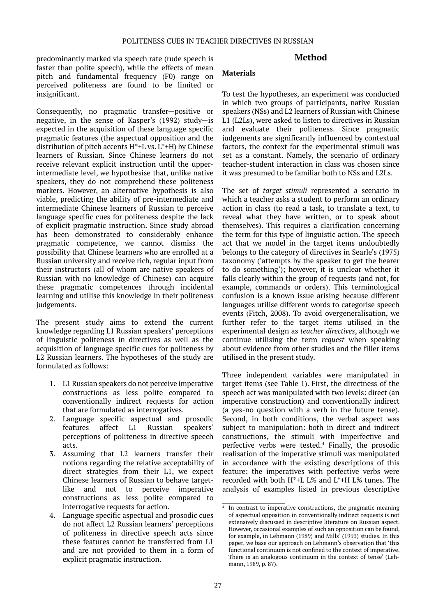#### predominantly marked via speech rate (rude speech is faster than polite speech), while the effects of mean pitch and fundamental frequency (F0) range on perceived politeness are found to be limited or insignificant.

Consequently, no pragmatic transfer—positive or negative, in the sense of Kasper's (1992) study—is expected in the acquisition of these language specific pragmatic features (the aspectual opposition and the distribution of pitch accents  $H^*+L$  vs.  $L^*+H$ ) by Chinese learners of Russian. Since Chinese learners do not receive relevant explicit instruction until the upperintermediate level, we hypothesise that, unlike native speakers, they do not comprehend these politeness markers. However, an alternative hypothesis is also viable, predicting the ability of pre-intermediate and intermediate Chinese learners of Russian to perceive language specific cues for politeness despite the lack of explicit pragmatic instruction. Since study abroad has been demonstrated to considerably enhance pragmatic competence, we cannot dismiss the possibility that Chinese learners who are enrolled at a Russian university and receive rich, regular input from their instructors (all of whom are native speakers of Russian with no knowledge of Chinese) can acquire these pragmatic competences through incidental learning and utilise this knowledge in their politeness judgements.

The present study aims to extend the current knowledge regarding L1 Russian speakers' perceptions of linguistic politeness in directives as well as the acquisition of language specific cues for politeness by L2 Russian learners. The hypotheses of the study are formulated as follows:

- 1. L1 Russian speakers do not perceive imperative constructions as less polite compared to conventionally indirect requests for action that are formulated as interrogatives.
- 2. Language specific aspectual and prosodic features affect L1 Russian speakers' perceptions of politeness in directive speech acts.
- 3. Assuming that L2 learners transfer their notions regarding the relative acceptability of direct strategies from their L1, we expect Chinese learners of Russian to behave targetlike and not to perceive imperative constructions as less polite compared to interrogative requests for action.
- 4. Language specific aspectual and prosodic cues do not affect L2 Russian learners' perceptions of politeness in directive speech acts since these features cannot be transferred from L1 and are not provided to them in a form of explicit pragmatic instruction.

# **Method**

#### **Materials**

To test the hypotheses, an experiment was conducted in which two groups of participants, native Russian speakers (NSs) and L2 learners of Russian with Chinese L1 (L2Ls), were asked to listen to directives in Russian and evaluate their politeness. Since pragmatic judgements are significantly influenced by contextual factors, the context for the experimental stimuli was set as a constant. Namely, the scenario of ordinary teacher-student interaction in class was chosen since it was presumed to be familiar both to NSs and L2Ls.

The set of *target stimuli* represented a scenario in which a teacher asks a student to perform an ordinary action in class (to read a task, to translate a text, to reveal what they have written, or to speak about themselves). This requires a clarification concerning the term for this type of linguistic action. The speech act that we model in the target items undoubtedly belongs to the category of directives in Searle's (1975) taxonomy ('attempts by the speaker to get the hearer to do something'); however, it is unclear whether it falls clearly within the group of requests (and not, for example, commands or orders). This terminological confusion is a known issue arising because different languages utilise different words to categorise speech events (Fitch, 2008). To avoid overgeneralisation, we further refer to the target items utilised in the experimental design as *teacher directives*, although we continue utilising the term *request* when speaking about evidence from other studies and the filler items utilised in the present study.

Three independent variables were manipulated in target items (see Table 1). First, the directness of the speech act was manipulated with two levels: direct (an imperative construction) and conventionally indirect (a yes-no question with a verb in the future tense). Second, in both conditions, the verbal aspect was subject to manipulation: both in direct and indirect constructions, the stimuli with imperfective and perfective verbs were tested.4 Finally, the prosodic realisation of the imperative stimuli was manipulated in accordance with the existing descriptions of this feature: the imperatives with perfective verbs were recorded with both H\*+L L% and L\*+H L% tunes. The analysis of examples listed in previous descriptive

<sup>4</sup> In contrast to imperative constructions, the pragmatic meaning of aspectual opposition in conventionally indirect requests is not extensively discussed in descriptive literature on Russian aspect. However, occasional examples of such an opposition can be found, for example, in Lehmann (1989) and Mills' (1993) studies. In this paper, we base our approach on Lehmann's observation that 'this functional continuum is not confined to the context of imperative. There is an analogous continuum in the context of tense' (Lehmann, 1989, p. 87).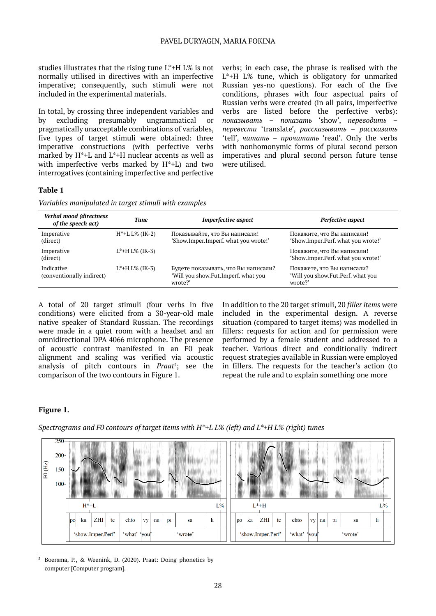studies illustrates that the rising tune L\*+H L% is not normally utilised in directives with an imperfective imperative; consequently, such stimuli were not included in the experimental materials.

In total, by crossing three independent variables and by excluding presumably ungrammatical or pragmatically unacceptable combinations of variables, five types of target stimuli were obtained: three imperative constructions (with perfective verbs marked by H\*+L and L\*+H nuclear accents as well as with imperfective verbs marked by H\*+L) and two interrogatives (containing imperfective and perfective

verbs; in each case, the phrase is realised with the L\*+H L% tune, which is obligatory for unmarked Russian yes-no questions). For each of the five conditions, phrases with four aspectual pairs of Russian verbs were created (in all pairs, imperfective verbs are listed before the perfective verbs): *показывать* – *показать* 'show', *переводить* – *перевести* 'translate', *рассказывать* – *рассказать* 'tell', *читать* – *прочитать* 'read'. Only the verbs with nonhomonymic forms of plural second person imperatives and plural second person future tense were utilised.

#### **Table 1**

*Variables manipulated in target stimuli with examples*

| Verbal mood (directness<br>of the speech act) | Tune                  | <b>Imperfective aspect</b>                                                            | Perfective aspect                                                          |  |  |
|-----------------------------------------------|-----------------------|---------------------------------------------------------------------------------------|----------------------------------------------------------------------------|--|--|
| Imperative<br>(direct)                        | $H^*+L L\%$ (IK-2)    | Показывайте, что Вы написали!<br>'Show.Imper.Imperf. what you wrote!'                 | Покажите, что Вы написали!<br>'Show.Imper.Perf. what you wrote!'           |  |  |
| Imperative<br>(direct)                        | $L^*$ +H $L\%$ (IK-3) |                                                                                       | Покажите, что Вы написали!<br>'Show.Imper.Perf. what you wrote!'           |  |  |
| Indicative<br>(conventionally indirect)       | $L^*$ +H $L\%$ (IK-3) | Будете показывать, что Вы написали?<br>'Will you show.Fut.Imperf, what you<br>wrote?' | Покажете, что Вы написали?<br>'Will you show.Fut.Perf. what you<br>wrote?' |  |  |

A total of 20 target stimuli (four verbs in five conditions) were elicited from a 30-year-old male native speaker of Standard Russian. The recordings were made in a quiet room with a headset and an omnidirectional DPA 4066 microphone. The presence of acoustic contrast manifested in an F0 peak alignment and scaling was verified via acoustic analysis of pitch contours in *Praat<sup>5</sup>*; see the comparison of the two contours in Figure 1.

In addition to the 20 target stimuli, 20 *filler items* were included in the experimental design. A reverse situation (compared to target items) was modelled in fillers: requests for action and for permission were performed by a female student and addressed to a teacher. Various direct and conditionally indirect request strategies available in Russian were employed in fillers. The requests for the teacher's action (to repeat the rule and to explain something one more

## **Figure 1.**

*Spectrograms and F0 contours of target items with H\*+L L% (left) and L\*+H L% (right) tunes*

| $\overline{\rm F0}$ (Hz) | $250 -$<br>$200 -$<br>$150 -$<br>$100 -$ |                                              |    |     |    |      |           |                                                 |    |    |    |         |    |     |    |      |           |    |       |    |    |  |
|--------------------------|------------------------------------------|----------------------------------------------|----|-----|----|------|-----------|-------------------------------------------------|----|----|----|---------|----|-----|----|------|-----------|----|-------|----|----|--|
|                          |                                          | $H^*+L$<br>$L\%$                             |    |     |    |      |           |                                                 |    |    |    | $L^*+H$ |    |     |    |      |           |    | $L\%$ |    |    |  |
|                          |                                          | po                                           | ka | ZHI | te | chto | <b>vy</b> | na                                              | pi | sa | li | po      | ka | ZHI | te | chto | <b>vy</b> | na | pi    | sa | li |  |
|                          |                                          | 'show.Imper.Perf'<br>'what'  you <br>'wrote' |    |     |    |      |           | 'what'<br>'show.Imper.Perf'<br>'wrote'<br>'you' |    |    |    |         |    |     |    |      |           |    |       |    |    |  |

<sup>5</sup> Boersma, P., & Weenink, D. (2020). Praat: Doing phonetics by computer [Computer program].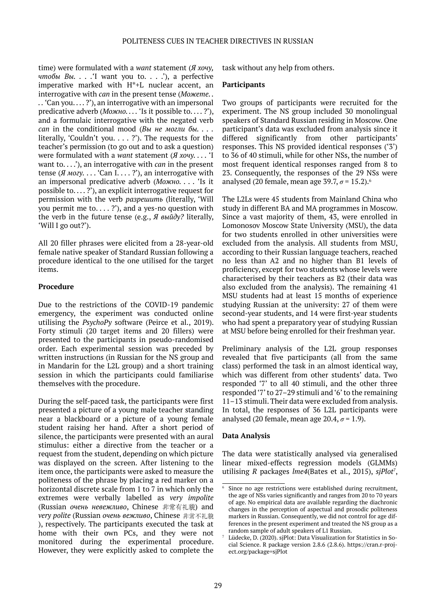time) were formulated with a *want* statement (*Я хочу, чтобы Вы. . . .*'I want you to. . . .'), a perfective imperative marked with H\*+L nuclear accent, an interrogative with *can* in the present tense (*Можете. . . .* 'Can you. . . . ?'), an interrogative with an impersonal predicative adverb (*Можно. . . .* 'Is it possible to. . . . ?'), and a formulaic interrogative with the negated verb *can* in the conditional mood (*Вы не могли бы. . . .* literally, 'Couldn't you. . . . ?'). The requests for the teacher's permission (to go out and to ask a question) were formulated with a *want* statement (*Я хочу. . . .* 'I want to. . . .'), an interrogative with *can* in the present tense (*Я могу*.... 'Can I....?'), an interrogative with an impersonal predicative adverb (*Можно. . . .* 'Is it possible to....?'), an explicit interrogative request for permission with the verb *разрешить* (literally, 'Will you permit me to....?'), and a yes-no question with the verb in the future tense (e.g., *Я выйду?* literally, 'Will I go out?').

All 20 filler phrases were elicited from a 28-year-old female native speaker of Standard Russian following a procedure identical to the one utilised for the target items.

## **Procedure**

Due to the restrictions of the COVID-19 pandemic emergency, the experiment was conducted online utilising the *PsychoPy* software (Peirce et al., 2019). Forty stimuli (20 target items and 20 fillers) were presented to the participants in pseudo-randomised order. Each experimental session was preceded by written instructions (in Russian for the NS group and in Mandarin for the L2L group) and a short training session in which the participants could familiarise themselves with the procedure.

During the self-paced task, the participants were first presented a picture of a young male teacher standing near a blackboard or a picture of a young female student raising her hand. After a short period of silence, the participants were presented with an aural stimulus: either a directive from the teacher or a request from the student, depending on which picture was displayed on the screen. After listening to the item once, the participants were asked to measure the politeness of the phrase by placing a red marker on a horizontal discrete scale from 1 to 7 in which only the extremes were verbally labelled as *very impolite* (Russian *очень невежливо*, Chinese 非常有礼貌) and *very polite* (Russian *очень вежливо*, Chinese ), respectively. The participants executed the task at home with their own PCs, and they were not monitored during the experimental procedure. However, they were explicitly asked to complete the

task without any help from others.

#### **Participants**

Two groups of participants were recruited for the experiment. The NS group included 30 monolingual speakers of Standard Russian residing in Moscow. One participant's data was excluded from analysis since it differed significantly from other participants' responses. This NS provided identical responses ('3') to 36 of 40 stimuli, while for other NSs, the number of most frequent identical responses ranged from 8 to 23. Consequently, the responses of the 29 NSs were analysed (20 female, mean age 39.7,  $\sigma$  = 15.2).<sup>6</sup>

The L2Ls were 45 students from Mainland China who study in different BA and MA programmes in Moscow. Since a vast majority of them, 43, were enrolled in Lomonosov Moscow State University (MSU), the data for two students enrolled in other universities were excluded from the analysis. All students from MSU, according to their Russian language teachers, reached no less than A2 and no higher than B1 levels of proficiency, except for two students whose levels were characterised by their teachers as B2 (their data was also excluded from the analysis). The remaining 41 MSU students had at least 15 months of experience studying Russian at the university: 27 of them were second-year students, and 14 were first-year students who had spent a preparatory year of studying Russian at MSU before being enrolled for their freshman year.

Preliminary analysis of the L2L group responses revealed that five participants (all from the same class) performed the task in an almost identical way, which was different from other students' data. Two responded '7' to all 40 stimuli, and the other three responded '7' to 27–29 stimuli and '6' to the remaining 11–13 stimuli. Their data were excluded from analysis. In total, the responses of 36 L2L participants were analysed (20 female, mean age  $20.4$ ,  $\sigma$  = 1.9).

#### **Data Analysis**

The data were statistically analysed via generalised linear mixed-effects regression models (GLMMs) utilising *R* packages *lme4*(Bates et al., 2015), *sjPlot7* ,

Since no age restrictions were established during recruitment, the age of NSs varies significantly and ranges from 20 to 70 years of age. No empirical data are available regarding the diachronic changes in the perception of aspectual and prosodic politeness markers in Russian. Consequently, we did not control for age differences in the present experiment and treated the NS group as a random sample of adult speakers of L1 Russian.

Lüdecke, D. (2020). sjPlot: Data Visualization for Statistics in Social Science. R package version 2.8.6 (2.8.6). https://cran.r-project.org/package=sjPlot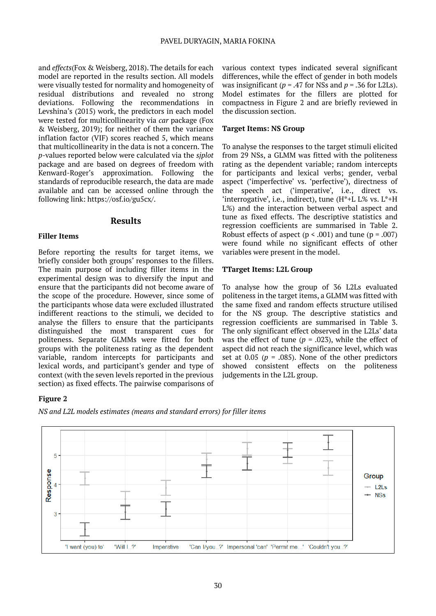and *effects*(Fox & Weisberg, 2018). The details for each model are reported in the results section. All models were visually tested for normality and homogeneity of residual distributions and revealed no strong deviations. Following the recommendations in Levshina's (2015) work, the predictors in each model were tested for multicollinearity via *car* package (Fox & Weisberg, 2019); for neither of them the variance inflation factor (VIF) scores reached 5, which means that multicollinearity in the data is not a concern. The *p*-values reported below were calculated via the *sjplot* package and are based on degrees of freedom with Kenward-Roger's approximation. Following the standards of reproducible research, the data are made available and can be accessed online through the following link: https://osf.io/gu5cx/.

#### **Results**

#### **Filler Items**

Before reporting the results for target items, we briefly consider both groups' responses to the fillers. The main purpose of including filler items in the experimental design was to diversify the input and ensure that the participants did not become aware of the scope of the procedure. However, since some of the participants whose data were excluded illustrated indifferent reactions to the stimuli, we decided to analyse the fillers to ensure that the participants distinguished the most transparent cues for politeness. Separate GLMMs were fitted for both groups with the politeness rating as the dependent variable, random intercepts for participants and lexical words, and participant's gender and type of context (with the seven levels reported in the previous section) as fixed effects. The pairwise comparisons of

various context types indicated several significant differences, while the effect of gender in both models was insignificant ( $p = .47$  for NSs and  $p = .36$  for L2Ls). Model estimates for the fillers are plotted for compactness in Figure 2 and are briefly reviewed in the discussion section.

#### **Target Items: NS Group**

To analyse the responses to the target stimuli elicited from 29 NSs, a GLMM was fitted with the politeness rating as the dependent variable; random intercepts for participants and lexical verbs; gender, verbal aspect ('imperfective' vs. 'perfective'), directness of the speech act ('imperative', i.e., direct vs. 'interrogative', i.e., indirect), tune  $(H^*+L L^* \times \nu s, L^*+H)$ L%) and the interaction between verbal aspect and tune as fixed effects. The descriptive statistics and regression coefficients are summarised in Table 2. Robust effects of aspect ( $p < .001$ ) and tune ( $p = .007$ ) were found while no significant effects of other variables were present in the model.

#### **TTarget Items: L2L Group**

To analyse how the group of 36 L2Ls evaluated politeness in the target items, a GLMM was fitted with the same fixed and random effects structure utilised for the NS group. The descriptive statistics and regression coefficients are summarised in Table 3. The only significant effect observed in the L2Ls' data was the effect of tune ( $p = .023$ ), while the effect of aspect did not reach the significance level, which was set at  $0.05$  ( $p = .085$ ). None of the other predictors showed consistent effects on the politeness judgements in the L2L group.

## **Figure 2**



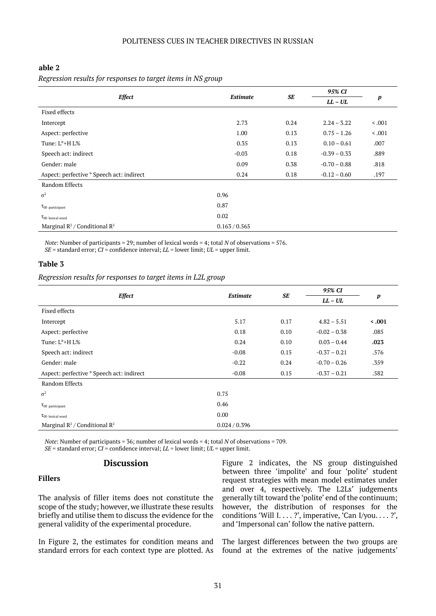#### **able 2**

|                                                      |                 |      | 95% CI         |                  |  |
|------------------------------------------------------|-----------------|------|----------------|------------------|--|
| <b>Effect</b>                                        | <b>Estimate</b> | SE   | $LL - UL$      | $\boldsymbol{p}$ |  |
| Fixed effects                                        |                 |      |                |                  |  |
| Intercept                                            | 2.73            | 0.24 | $2.24 - 3.22$  | $\leq .001$      |  |
| Aspect: perfective                                   | 1.00            | 0.13 | $0.75 - 1.26$  | < .001           |  |
| Tune: $L^*$ +H $L\%$                                 | 0.35            | 0.13 | $0.10 - 0.61$  | .007             |  |
| Speech act: indirect                                 | $-0.03$         | 0.18 | $-0.39 - 0.33$ | .889             |  |
| Gender: male                                         | 0.09            | 0.38 | $-0.70 - 0.88$ | .818             |  |
| Aspect: perfective * Speech act: indirect            | 0.24            | 0.18 | $-0.12 - 0.60$ | .197             |  |
| Random Effects                                       |                 |      |                |                  |  |
| $\sigma^2$                                           | 0.96            |      |                |                  |  |
| $\tau_{00}$ participant                              | 0.87            |      |                |                  |  |
| $\tau_{00}$ lexical word                             | 0.02            |      |                |                  |  |
| Marginal $\mathbb{R}^2$ / Conditional $\mathbb{R}^2$ | 0.163 / 0.565   |      |                |                  |  |

*Note*: Number of participants = 29; number of lexical words = 4; total *N* of observations = 576. *SE* = standard error; *CI* = confidence interval; *LL* = lower limit; *UL* = upper limit.

#### **Table 3**

*Regression results for responses to target items in L2L group*

| <b>Effect</b>                                        | <b>Estimate</b> | SE   | 95% CI         | p            |  |
|------------------------------------------------------|-----------------|------|----------------|--------------|--|
|                                                      |                 |      | $LL - UL$      |              |  |
| Fixed effects                                        |                 |      |                |              |  |
| Intercept                                            | 5.17            | 0.17 | $4.82 - 5.51$  | $\leq 0.001$ |  |
| Aspect: perfective                                   | 0.18            | 0.10 | $-0.02 - 0.38$ | .085         |  |
| Tune: $L^*$ +H $L\%$                                 | 0.24            | 0.10 | $0.03 - 0.44$  | .023         |  |
| Speech act: indirect                                 | $-0.08$         | 0.15 | $-0.37 - 0.21$ | .576         |  |
| Gender: male                                         | $-0.22$         | 0.24 | $-0.70 - 0.26$ | .359         |  |
| Aspect: perfective * Speech act: indirect            | $-0.08$         | 0.15 | $-0.37 - 0.21$ | .582         |  |
| Random Effects                                       |                 |      |                |              |  |
| $\sigma^2$                                           | 0.75            |      |                |              |  |
| $\tau_{00}$ participant                              | 0.46            |      |                |              |  |
| $\tau_{00}$ lexical word                             | 0.00            |      |                |              |  |
| Marginal $\mathbb{R}^2$ / Conditional $\mathbb{R}^2$ | 0.024 / 0.396   |      |                |              |  |

*Note*: Number of participants = 36; number of lexical words = 4; total *N* of observations = 709. *SE* = standard error; *CI* = confidence interval; *LL* = lower limit; *UL* = upper limit.

## **Discussion**

#### **Fillers**

The analysis of filler items does not constitute the scope of the study; however, we illustrate these results briefly and utilise them to discuss the evidence for the general validity of the experimental procedure.

In Figure 2, the estimates for condition means and standard errors for each context type are plotted. As

Figure 2 indicates, the NS group distinguished between three 'impolite' and four 'polite' student request strategies with mean model estimates under and over 4, respectively. The L2Ls' judgements generally tilt toward the 'polite' end of the continuum; however, the distribution of responses for the conditions 'Will I. . . . ?', imperative, 'Can I/you. . . . ?', and 'Impersonal can' follow the native pattern.

The largest differences between the two groups are found at the extremes of the native judgements'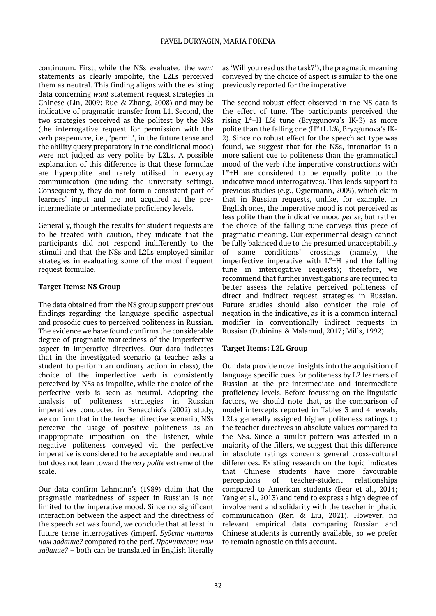continuum. First, while the NSs evaluated the *want* statements as clearly impolite, the L2Ls perceived them as neutral. This finding aligns with the existing data concerning *want* statement request strategies in Chinese (Lin, 2009; Rue & Zhang, 2008) and may be indicative of pragmatic transfer from L1. Second, the two strategies perceived as the politest by the NSs (the interrogative request for permission with the verb разрешите, i.e., 'permit', in the future tense and the ability query preparatory in the conditional mood) were not judged as very polite by L2Ls. A possible explanation of this difference is that these formulae are hyperpolite and rarely utilised in everyday communication (including the university setting). Consequently, they do not form a consistent part of learners' input and are not acquired at the preintermediate or intermediate proficiency levels.

Generally, though the results for student requests are to be treated with caution, they indicate that the participants did not respond indifferently to the stimuli and that the NSs and L2Ls employed similar strategies in evaluating some of the most frequent request formulae.

## **Target Items: NS Group**

The data obtained from the NS group support previous findings regarding the language specific aspectual and prosodic cues to perceived politeness in Russian. The evidence we have found confirms the considerable degree of pragmatic markedness of the imperfective aspect in imperative directives. Our data indicates that in the investigated scenario (a teacher asks a student to perform an ordinary action in class), the choice of the imperfective verb is consistently perceived by NSs as impolite, while the choice of the perfective verb is seen as neutral. Adopting the analysis of politeness strategies in Russian imperatives conducted in Benacchio's (2002) study, we confirm that in the teacher directive scenario, NSs perceive the usage of positive politeness as an inappropriate imposition on the listener, while negative politeness conveyed via the perfective imperative is considered to be acceptable and neutral but does not lean toward the *very polite* extreme of the scale.

Our data confirm Lehmann's (1989) claim that the pragmatic markedness of aspect in Russian is not limited to the imperative mood. Since no significant interaction between the aspect and the directness of the speech act was found, we conclude that at least in future tense interrogatives (imperf. *Будете читать нам задание?* compared to the perf. *Прочитаете нам задание?* – both can be translated in English literally

as 'Will you read us the task?'), the pragmatic meaning conveyed by the choice of aspect is similar to the one previously reported for the imperative.

The second robust effect observed in the NS data is the effect of tune. The participants perceived the rising L\*+H L% tune (Bryzgunova's IK-3) as more polite than the falling one (H\*+L L%, Bryzgunova's IK-2). Since no robust effect for the speech act type was found, we suggest that for the NSs, intonation is a more salient cue to politeness than the grammatical mood of the verb (the imperative constructions with L\*+H are considered to be equally polite to the indicative mood interrogatives). This lends support to previous studies (e.g., Ogiermann, 2009), which claim that in Russian requests, unlike, for example, in English ones, the imperative mood is not perceived as less polite than the indicative mood *per se*, but rather the choice of the falling tune conveys this piece of pragmatic meaning. Our experimental design cannot be fully balanced due to the presumed unacceptability of some conditions' crossings (namely, the imperfective imperative with L\*+H and the falling tune in interrogative requests); therefore, we recommend that further investigations are required to better assess the relative perceived politeness of direct and indirect request strategies in Russian. Future studies should also consider the role of negation in the indicative, as it is a common internal modifier in conventionally indirect requests in Russian (Dubinina & Malamud, 2017; Mills, 1992).

## **Target Items: L2L Group**

Our data provide novel insights into the acquisition of language specific cues for politeness by L2 learners of Russian at the pre-intermediate and intermediate proficiency levels. Before focussing on the linguistic factors, we should note that, as the comparison of model intercepts reported in Tables 3 and 4 reveals, L2Ls generally assigned higher politeness ratings to the teacher directives in absolute values compared to the NSs. Since a similar pattern was attested in a majority of the fillers, we suggest that this difference in absolute ratings concerns general cross-cultural differences. Existing research on the topic indicates that Chinese students have more favourable perceptions of teacher-student relationships compared to American students (Bear et al., 2014; Yang et al., 2013) and tend to express a high degree of involvement and solidarity with the teacher in phatic communication (Ren & Liu, 2021). However, no relevant empirical data comparing Russian and Chinese students is currently available, so we prefer to remain agnostic on this account.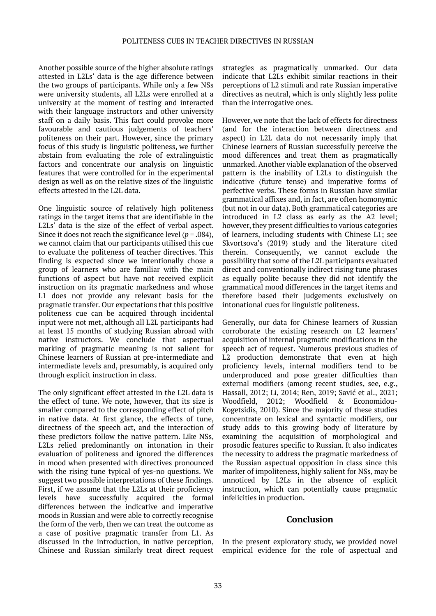Another possible source of the higher absolute ratings attested in L2Ls' data is the age difference between the two groups of participants. While only a few NSs were university students, all L2Ls were enrolled at a university at the moment of testing and interacted with their language instructors and other university staff on a daily basis. This fact could provoke more favourable and cautious judgements of teachers' politeness on their part. However, since the primary focus of this study is linguistic politeness, we further abstain from evaluating the role of extralinguistic factors and concentrate our analysis on linguistic features that were controlled for in the experimental design as well as on the relative sizes of the linguistic effects attested in the L2L data.

One linguistic source of relatively high politeness ratings in the target items that are identifiable in the L2Ls' data is the size of the effect of verbal aspect. Since it does not reach the significance level (*p* = .084), we cannot claim that our participants utilised this cue to evaluate the politeness of teacher directives. This finding is expected since we intentionally chose a group of learners who are familiar with the main functions of aspect but have not received explicit instruction on its pragmatic markedness and whose L1 does not provide any relevant basis for the pragmatic transfer. Our expectations that this positive politeness cue can be acquired through incidental input were not met, although all L2L participants had at least 15 months of studying Russian abroad with native instructors. We conclude that aspectual marking of pragmatic meaning is not salient for Chinese learners of Russian at pre-intermediate and intermediate levels and, presumably, is acquired only through explicit instruction in class.

The only significant effect attested in the L2L data is the effect of tune. We note, however, that its size is smaller compared to the corresponding effect of pitch in native data. At first glance, the effects of tune, directness of the speech act, and the interaction of these predictors follow the native pattern. Like NSs, L2Ls relied predominantly on intonation in their evaluation of politeness and ignored the differences in mood when presented with directives pronounced with the rising tune typical of yes-no questions. We suggest two possible interpretations of these findings. First, if we assume that the L2Ls at their proficiency levels have successfully acquired the formal differences between the indicative and imperative moods in Russian and were able to correctly recognise the form of the verb, then we can treat the outcome as a case of positive pragmatic transfer from L1. As discussed in the introduction, in native perception, Chinese and Russian similarly treat direct request strategies as pragmatically unmarked. Our data indicate that L2Ls exhibit similar reactions in their perceptions of L2 stimuli and rate Russian imperative directives as neutral, which is only slightly less polite than the interrogative ones.

However, we note that the lack of effects for directness (and for the interaction between directness and aspect) in L2L data do not necessarily imply that Chinese learners of Russian successfully perceive the mood differences and treat them as pragmatically unmarked. Another viable explanation of the observed pattern is the inability of L2Ls to distinguish the indicative (future tense) and imperative forms of perfective verbs. These forms in Russian have similar grammatical affixes and, in fact, are often homonymic (but not in our data). Both grammatical categories are introduced in L2 class as early as the A2 level; however, they present difficulties to various categories of learners, including students with Chinese L1; see Skvortsova's (2019) study and the literature cited therein. Consequently, we cannot exclude the possibility that some of the L2L participants evaluated direct and conventionally indirect rising tune phrases as equally polite because they did not identify the grammatical mood differences in the target items and therefore based their judgements exclusively on intonational cues for linguistic politeness.

Generally, our data for Chinese learners of Russian corroborate the existing research on L2 learners' acquisition of internal pragmatic modifications in the speech act of request. Numerous previous studies of L2 production demonstrate that even at high proficiency levels, internal modifiers tend to be underproduced and pose greater difficulties than external modifiers (among recent studies, see, e.g., Hassall, 2012; Li, 2014; Ren, 2019; Savić et al., 2021; Woodfield, 2012; Woodfield & Economidou-Kogetsidis, 2010). Since the majority of these studies concentrate on lexical and syntactic modifiers, our study adds to this growing body of literature by examining the acquisition of morphological and prosodic features specific to Russian. It also indicates the necessity to address the pragmatic markedness of the Russian aspectual opposition in class since this marker of impoliteness, highly salient for NSs, may be unnoticed by L2Ls in the absence of explicit instruction, which can potentially cause pragmatic infelicities in production.

## **Conclusion**

In the present exploratory study, we provided novel empirical evidence for the role of aspectual and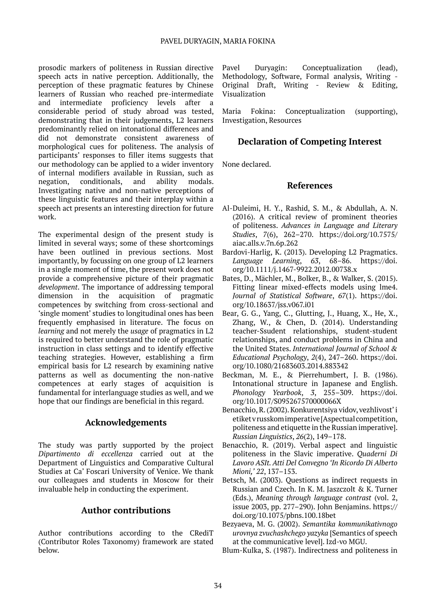prosodic markers of politeness in Russian directive speech acts in native perception. Additionally, the perception of these pragmatic features by Chinese learners of Russian who reached pre-intermediate and intermediate proficiency levels after a considerable period of study abroad was tested, demonstrating that in their judgements, L2 learners predominantly relied on intonational differences and did not demonstrate consistent awareness of morphological cues for politeness. The analysis of participants' responses to filler items suggests that our methodology can be applied to a wider inventory of internal modifiers available in Russian, such as negation, conditionals, and ability modals. Investigating native and non-native perceptions of these linguistic features and their interplay within a speech act presents an interesting direction for future work.

The experimental design of the present study is limited in several ways; some of these shortcomings have been outlined in previous sections. Most importantly, by focussing on one group of L2 learners in a single moment of time, the present work does not provide a comprehensive picture of their pragmatic development. The importance of addressing temporal dimension in the acquisition of pragmatic acquisition of pragmatic competences by switching from cross-sectional and 'single moment' studies to longitudinal ones has been frequently emphasised in literature. The focus on *learning* and not merely the *usage* of pragmatics in L2 is required to better understand the role of pragmatic instruction in class settings and to identify effective teaching strategies. However, establishing a firm empirical basis for L2 research by examining native patterns as well as documenting the non-native competences at early stages of acquisition is fundamental for interlanguage studies as well, and we hope that our findings are beneficial in this regard.

# **Acknowledgements**

The study was partly supported by the project *Dipartimento di eccellenza* carried out at the Department of Linguistics and Comparative Cultural Studies at Ca' Foscari University of Venice. We thank our colleagues and students in Moscow for their invaluable help in conducting the experiment.

## **Author contributions**

Author contributions according to the CRediT (Contributor Roles Taxonomy) framework are stated below.

Pavel Duryagin: Conceptualization (lead), Methodology, Software, Formal analysis, Writing - Original Draft, Writing - Review & Editing, Visualization

Maria Fokina: Conceptualization (supporting), Investigation, Resources

# **Declaration of Competing Interest**

None declared.

## **References**

- Al-Duleimi, H. Y., Rashid, S. M., & Abdullah, A. N. (2016). A critical review of prominent theories of politeness. *Advances in Language and Literary Studies*, *7*(6), 262–270. https://doi.org/10.7575/ aiac.alls.v.7n.6p.262
- Bardovi-Harlig, K. (2013). Developing L2 Pragmatics. *Language Learning*, *63*, 68–86. https://doi. org/10.1111/j.1467-9922.2012.00738.x
- Bates, D., Mächler, M., Bolker, B., & Walker, S. (2015). Fitting linear mixed-effects models using lme4. *Journal of Statistical Software*, *67*(1). https://doi. org/10.18637/jss.v067.i01
- Bear, G. G., Yang, C., Glutting, J., Huang, X., He, X., Zhang, W., & Chen, D. (2014). Understanding teacher-Ssudent relationships, student-student relationships, and conduct problems in China and the United States. *International Journal of School & Educational Psychology*, *2*(4), 247–260. https://doi. org/10.1080/21683603.2014.883342
- Beckman, M. E., & Pierrehumbert, J. B. (1986). Intonational structure in Japanese and English. *Phonology Yearbook*, *3*, 255–309. https://doi. org/10.1017/S095267570000066X
- Benacchio, R. (2002). Konkurentsiya vidov, vezhlivost' i etiket v russkom imperative [Aspectual competition, politeness and etiquette in the Russian imperative]. *Russian Linguistics*, *26*(2), 149–178.
- Benacchio, R. (2019). Verbal aspect and linguistic politeness in the Slavic imperative. *Quaderni Di Lavoro ASIt. Atti Del Convegno 'In Ricordo Di Alberto Mioni,' 22*, 137–153.
- Betsch, M. (2003). Questions as indirect requests in Russian and Czech. In K. M. Jaszczolt & K. Turner (Eds.), *Meaning through language contrast* (vol. 2, issue 2003, pp. 277–290). John Benjamins. https:// doi.org/10.1075/pbns.100.18bet
- Bezyaeva, M. G. (2002). *Semantika kommunikativnogo urovnya zvuchashchego yazyka* [Semantics of speech at the communicative level]. Izd-vo MGU.
- Blum-Kulka, S. (1987). Indirectness and politeness in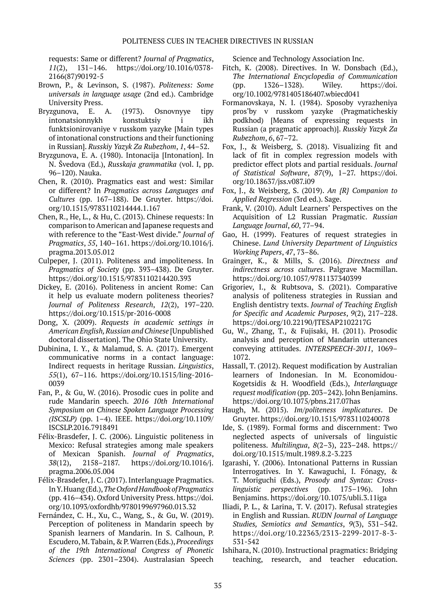requests: Same or different? *Journal of Pragmatics*, *11*(2), 131–146. https://doi.org/10.1016/0378- 2166(87)90192-5

- Brown, P., & Levinson, S. (1987). *Politeness: Some universals in language usage* (2nd ed.). Cambridge University Press.
- Bryzgunova, E. A. (1973). Osnovnyye tipy intonatsionnykh konstuktsiy i ikh funktsionirovaniye v russkom yazyke [Main types of intonational constructions and their functioning in Russian]. *Russkiy Yazyk Za Rubezhom*, *1*, 44–52.
- Bryzgunova, E. A. (1980). Intonacija [Intonation]. In N. Švedova (Ed.), *Russkaja grammatika* (vol. I, pp. 96–120). Nauka.
- Chen, R. (2010). Pragmatics east and west: Similar or different? In *Pragmatics across Languages and Cultures* (pp. 167–188). De Gruyter. https://doi. org/10.1515/9783110214444.1.167
- Chen, R., He, L., & Hu, C. (2013). Chinese requests: In comparison to American and Japanese requests and with reference to the "East-West divide." *Journal of Pragmatics*, *55*, 140–161. https://doi.org/10.1016/j. pragma.2013.05.012
- Culpeper, J. (2011). Politeness and impoliteness. In *Pragmatics of Society* (pp. 393–438). De Gruyter. https://doi.org/10.1515/9783110214420.393
- Dickey, E. (2016). Politeness in ancient Rome: Can it help us evaluate modern politeness theories? *Journal of Politeness Research*, *12*(2), 197–220. https://doi.org/10.1515/pr-2016-0008
- Dong, X. (2009). *Requests in academic settings in American English, Russian and Chinese* [Unpublished doctoral dissertation]. The Ohio State University.
- Dubinina, I. Y., & Malamud, S. A. (2017). Emergent communicative norms in a contact language: Indirect requests in heritage Russian. *Linguistics*, *55*(1), 67–116. https://doi.org/10.1515/ling-2016- 0039
- Fan, P., & Gu, W. (2016). Prosodic cues in polite and rude Mandarin speech. *2016 10th International Symposium on Chinese Spoken Language Processing (ISCSLP)* (pp. 1–4). IEEE. https://doi.org/10.1109/ ISCSLP.2016.7918491
- Félix-Brasdefer, J. C. (2006). Linguistic politeness in Mexico: Refusal strategies among male speakers of Mexican Spanish. *Journal of Pragmatics*, *38*(12), 2158–2187. https://doi.org/10.1016/j. pragma.2006.05.004
- Félix-Brasdefer, J. C. (2017). Interlanguage Pragmatics. In Y. Huang (Ed.), *The Oxford Handbook of Pragmatics* (pp. 416–434). Oxford University Press. https://doi. org/10.1093/oxfordhb/9780199697960.013.32
- Fernández, C. H., Xu, C., Wang, S., & Gu, W. (2019). Perception of politeness in Mandarin speech by Spanish learners of Mandarin. In S. Calhoun, P. Escudero, M. Tabain, & P. Warren (Eds.), *Proceedings of the 19th International Congress of Phonetic Sciences* (pp. 2301–2304). Australasian Speech

Science and Technology Association Inc.

- Fitch, K. (2008). Directives. In W. Donsbach (Ed.), *The International Encyclopedia of Communication* (pp. 1326–1328). Wiley. https://doi. org/10.1002/9781405186407.wbiecd041
- Formanovskaya, N. I. (1984). Sposoby vyrazheniya pros'by v russkom yazyke (Pragmaticheskiy podkhod) [Means of expressing requests in Russian (a pragmatic approach)]. *Russkiy Yazyk Za Rubezhom*, *6*, 67–72.
- Fox, J., & Weisberg, S. (2018). Visualizing fit and lack of fit in complex regression models with predictor effect plots and partial residuals. *Journal of Statistical Software*, *87*(9), 1–27. https://doi. org/10.18637/jss.v087.i09
- Fox, J., & Weisberg, S. (2019). *An {R} Companion to Applied Regression* (3rd ed.). Sage.
- Frank, V. (2010). Adult Learners' Perspectives on the Acquisition of L2 Russian Pragmatic. *Russian Language Journal*, *60*, 77–94.
- Gao, H. (1999). Features of request strategies in Chinese. *Lund University Department of Linguistics Working Papers*, *47*, 73–86.
- Grainger, K., & Mills, S. (2016). *Directness and indirectness across cultures*. Palgrave Macmillan. https://doi.org/10.1057/9781137340399
- Grigoriev, I., & Rubtsova, S. (2021). Comparative analysis of politeness strategies in Russian and English dentistry texts. *Journal of Teaching English for Specific and Academic Purposes*, *9*(2), 217–228. https://doi.org/10.22190/JTESAP2102217G
- Gu, W., Zhang, T., & Fujisaki, H. (2011). Prosodic analysis and perception of Mandarin utterances conveying attitudes. *INTERSPEECH-2011*, 1069– 1072.
- Hassall, T. (2012). Request modification by Australian learners of Indonesian. In M. Economidou-Kogetsidis & H. Woodfield (Eds.), *Interlanguage request modification* (pp. 203–242). John Benjamins. https://doi.org/10.1075/pbns.217.07has
- Haugh, M. (2015). *Im/politeness implicatures*. De Gruyter. https://doi.org/10.1515/9783110240078
- Ide, S. (1989). Formal forms and discernment: Two neglected aspects of universals of linguistic politeness. *Multilingua*, *8*(2–3), 223–248. https:// doi.org/10.1515/mult.1989.8.2-3.223
- Igarashi, Y. (2006). Intonational Patterns in Russian Interrogatives. In Y. Kawaguchi, I. Fónagy, & T. Moriguchi (Eds.), *Prosody and Syntax: Crosslinguistic perspectives* (pp. 175–196). John Benjamins. https://doi.org/10.1075/ubli.3.11iga
- Iliadi, P. L., & Larina, T. V. (2017). Refusal strategies in English and Russian. *RUDN Journal of Language Studies, Semiotics and Semantics*, *9*(3), 531–542. https://doi.org/10.22363/2313-2299-2017-8-3- 531-542
- Ishihara, N. (2010). Instructional pragmatics: Bridging teaching, research, and teacher education.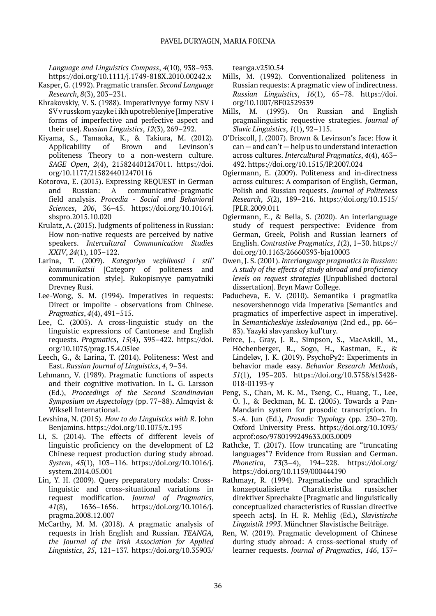*Language and Linguistics Compass*, *4*(10), 938–953. https://doi.org/10.1111/j.1749-818X.2010.00242.x

- Kasper, G. (1992). Pragmatic transfer. *Second Language Research*, *8*(3), 203–231.
- Khrakovskiy, V. S. (1988). Imperativnyye formy NSV i SV v russkom yazyke i ikh upotrebleniye [Imperative forms of imperfective and perfective aspect and their use]. *Russian Linguistics*, *12*(3), 269–292.
- Kiyama, S., Tamaoka, K., & Takiura, M. (2012). Applicability of Brown and Levinson's politeness Theory to a non-western culture. *SAGE Open*, *2*(4), 215824401247011. https://doi. org/10.1177/2158244012470116
- Kotorova, E. (2015). Expressing REQUEST in German and Russian: A communicative-pragmatic field analysis. *Procedia - Social and Behavioral Sciences*, *206*, 36–45. https://doi.org/10.1016/j. sbspro.2015.10.020
- Krulatz, A. (2015). Judgments of politeness in Russian: How non-native requests are perceived by native speakers. *Intercultural Communication Studies XXIV*, *24*(1), 103–122.
- Larina, T. (2009). *Kategoriya vezhlivosti i stil' kommunikatsii* [Category of politeness and communication style]. Rukopisnyye pamyatniki Drevney Rusi.
- Lee-Wong, S. M. (1994). Imperatives in requests: Direct or impolite - observations from Chinese. *Pragmatics*, *4*(4), 491–515.
- Lee, C. (2005). A cross-linguistic study on the linguistic expressions of Cantonese and English requests. *Pragmatics*, *15*(4), 395–422. https://doi. org/10.1075/prag.15.4.05lee
- Leech, G., & Larina, T. (2014). Politeness: West and East. *Russian Journal of Linguistics*, *4*, 9–34.
- Lehmann, V. (1989). Pragmatic functions of aspects and their cognitive motivation. In L. G. Larsson (Ed.), *Proceedings of the Second Scandinavian Symposium on Aspectology* (pp. 77–88). Almqvist & Wiksell International.
- Levshina, N. (2015). *How to do Linguistics with R*. John Benjamins. https://doi.org/10.1075/z.195
- Li, S. (2014). The effects of different levels of linguistic proficiency on the development of L2 Chinese request production during study abroad. *System*, *45*(1), 103–116. https://doi.org/10.1016/j. system.2014.05.001
- Lin, Y. H. (2009). Query preparatory modals: Crosslinguistic and cross-situational variations in request modification. *Journal of Pragmatics*, *41*(8), 1636–1656. https://doi.org/10.1016/j. pragma.2008.12.007
- McCarthy, M. M. (2018). A pragmatic analysis of requests in Irish English and Russian. *TEANGA, the Journal of the Irish Association for Applied Linguistics*, *25*, 121–137. https://doi.org/10.35903/

teanga.v25i0.54

- Mills, M. (1992). Conventionalized politeness in Russian requests: A pragmatic view of indirectness. *Russian Linguistics*, *16*(1), 65–78. https://doi. org/10.1007/BF02529539
- Mills, M. (1993). On Russian and English pragmalinguistic requestive strategies. *Journal of Slavic Linguistics*, *1*(1), 92–115.
- O'Driscoll, J. (2007). Brown & Levinson's face: How it  $can$  — and can't — help us to understand interaction across cultures. *Intercultural Pragmatics*, *4*(4), 463– 492. https://doi.org/10.1515/IP.2007.024
- Ogiermann, E. (2009). Politeness and in-directness across cultures: A comparison of English, German, Polish and Russian requests. *Journal of Politeness Research*, *5*(2), 189–216. https://doi.org/10.1515/ JPLR.2009.011
- Ogiermann, E., & Bella, S. (2020). An interlanguage study of request perspective: Evidence from German, Greek, Polish and Russian learners of English. *Contrastive Pragmatics*, *1*(2), 1–30. https:// doi.org/10.1163/26660393-bja10003
- Owen, J. S. (2001). *Interlanguage pragmatics in Russian: A study of the effects of study abroad and proficiency levels on request strategies* [Unpublished doctoral dissertation]. Bryn Mawr College.
- Paducheva, E. V. (2010). Semantika i pragmatika nesovershennogo vida imperativa [Semantics and pragmatics of imperfective aspect in imperative]. In *Semanticheskiye issledovaniya* (2nd ed., pp. 66– 83). Yazyki slavyanskoy kul'tury.
- Peirce, J., Gray, J. R., Simpson, S., MacAskill, M., Höchenberger, R., Sogo, H., Kastman, E., & Lindeløv, J. K. (2019). PsychoPy2: Experiments in behavior made easy. *Behavior Research Methods*, *51*(1), 195–203. https://doi.org/10.3758/s13428- 018-01193-y
- Peng, S., Chan, M. K. M., Tseng, C., Huang, T., Lee, O. J., & Beckman, M. E. (2005). Towards a Pan-Mandarin system for prosodic transcription. In S.-A. Jun (Ed.), *Prosodic Typology* (pp. 230–270). Oxford University Press. https://doi.org/10.1093/ acprof:oso/9780199249633.003.0009
- Rathcke, T. (2017). How truncating are "truncating languages"? Evidence from Russian and German. *Phonetica*, *73*(3–4), 194–228. https://doi.org/ https://doi.org/10.1159/000444190
- Rathmayr, R. (1994). Pragmatische und sprachlich konzeptualisierte Charakteristika russischer direktiver Sprechakte [Pragmatic and linguistically conceptualized characteristics of Russian directive speech acts]. In H. R. Mehlig (Ed.), *Slavistische Linguistik 1993*. Münchner Slavistische Beiträge.
- Ren, W. (2019). Pragmatic development of Chinese during study abroad: A cross-sectional study of learner requests. *Journal of Pragmatics*, *146*, 137–